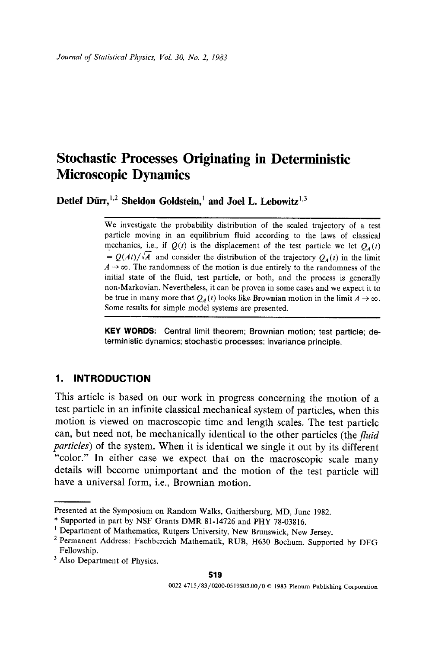# **Stochastic Processes Originating in Deterministic Microscopic Dynamics**

**Detlef Dürr, <sup>1,2</sup> Sheldon Goldstein, <sup>1</sup> and Joel L. Lebowitz<sup>1,3</sup>** 

We investigate the probability distribution of the scaled trajectory of a test particle moving in an equilibrium fluid according to the laws of classical mechanics, i.e., if  $Q(t)$  is the displacement of the test particle we let  $Q_A(t)$  $= Q(At)/\sqrt{A}$  and consider the distribution of the trajectory  $Q_A(t)$  in the limit  $A \rightarrow \infty$ . The randomness of the motion is due entirely to the randomness of the initial state of the fluid, test particle, or both, and the process is generally non-Markovian. Nevertheless, it can be proven in some cases and we expect it to be true in many more that  $Q_A(t)$  looks like Brownian motion in the limit  $A \rightarrow \infty$ . Some results for simple model systems are presented.

**KEY WORDS:** Central limit theorem; Brownian motion; test particle; **deterministic dynamics; stochastic processes;** invariance principle.

## **1. INTRODUCTION**

This article is based on our work in progress concerning the motion of a test particle in an infinite classical mechanical system of particles, when this motion is viewed on macroscopic time and length scales. The test particle can, but need not, be mechanically identical to the other particles (the *fluid particles)* of the system. When it is identical we single it out by its different "color." In either case we expect that on the macroscopic scale many details will become unimportant and the motion of the test particle will have a universal form, i.e., Brownian motion.

Presented at the Symposium on Random Walks, Gaithersburg, MD, June 1982.

<sup>\*</sup> Supported in part by NSF Grants DMR 81-14726 and PHY 78-03816.

<sup>&</sup>lt;sup>1</sup> Department of Mathematics, Rutgers University, New Brunswick, New Jersey.

<sup>&</sup>lt;sup>2</sup> Permanent Address: Fachbereich Mathematik, RUB, H630 Bochum. Supported by DFG Fellowship.

<sup>3</sup> Also Department of Physics.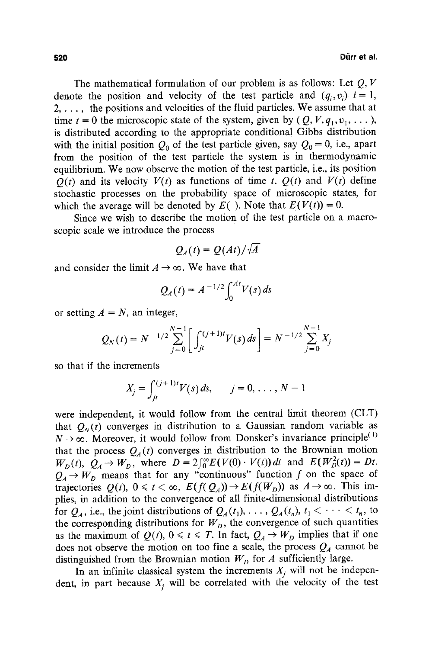The mathematical formulation of our problem is as follows: Let  $Q, V$ denote the position and velocity of the test particle and  $(q_i, v_i)$   $i = 1$ ,  $2, \ldots$ , the positions and velocities of the fluid particles. We assume that at time  $t = 0$  the microscopic state of the system, given by  $(Q, V, q_1, v_1, \dots)$ , is distributed according to the appropriate conditional Gibbs distribution with the initial position  $Q_0$  of the test particle given, say  $Q_0 = 0$ , i.e., apart from the position of the test particle the system is in thermodynamic equilibrium. We now observe the motion of the test particle, i.e., its position  $Q(t)$  and its velocity  $V(t)$  as functions of time *t.*  $Q(t)$  and  $V(t)$  define stochastic processes on the probability space of microscopic states, for which the average will be denoted by  $E(.)$ . Note that  $E(V(t)) = 0$ .

Since we wish to describe the motion of the test particle on a macroscopic scale we introduce the process

$$
Q_A(t) = Q(At)/\sqrt{A}
$$

and consider the limit  $A \rightarrow \infty$ . We have that

$$
Q_A(t) = A^{-1/2} \int_0^{At} V(s) ds
$$

or setting  $A = N$ , an integer,

$$
Q_N(t) = N^{-1/2} \sum_{j=0}^{N-1} \left[ \int_{jt}^{(j+1)t} V(s) \, ds \right] = N^{-1/2} \sum_{j=0}^{N-1} X_j
$$

so that if the increments

$$
X_j = \int_{jt}^{(j+1)t} V(s) \, ds, \qquad j = 0, \ldots, N-1
$$

were independent, it would follow from the central limit theorem (CLT) that  $Q_N(t)$  converges in distribution to a Gaussian random variable as  $N \rightarrow \infty$ . Moreover, it would follow from Donsker's invariance principle<sup>(1)</sup> that the process  $Q_A(t)$  converges in distribution to the Brownian motion  $W_D(t)$ ,  $Q_A \to W_D$ , where  $D = 2 \int_0^{\infty} E(V(0) \cdot V(t)) dt$  and  $E(W_D^2(t)) = Dt$ .  $Q_A \rightarrow W_D$  means that for any "continuous" function f on the space of trajectories  $Q(t)$ ,  $0 \le t < \infty$ ,  $E(f(Q_A)) \to E(f(W_D))$  as  $A \to \infty$ . This implies, in addition to the convergence of all finite-dimensional distributions for  $Q_4$ , i.e., the joint distributions of  $Q_4(t_1), \ldots, Q_4(t_n), t_1 < \cdots < t_n$ , to the corresponding distributions for  $W<sub>D</sub>$ , the convergence of such quantities as the maximum of  $Q(t)$ ,  $0 \le t \le T$ . In fact,  $Q_A \rightarrow W_D$  implies that if one does not observe the motion on too fine a scale, the process  $Q_A$  cannot be distinguished from the Brownian motion  $W_D$  for A sufficiently large.

In an infinite classical system the increments  $X_i$  will not be independent, in part because  $X_i$  will be correlated with the velocity of the test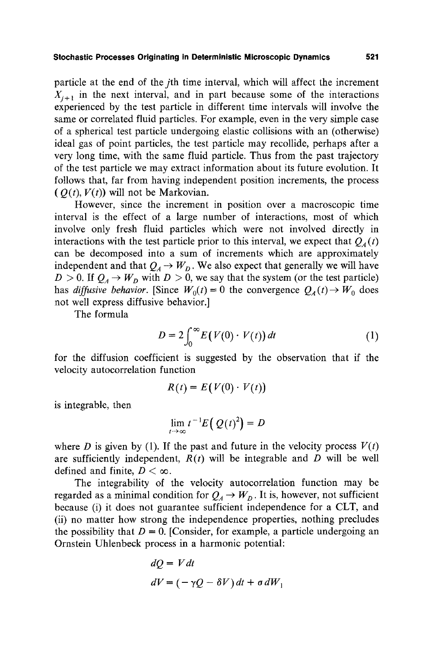particle at the end of the jth time interval, which will affect the increment  $X_{i+1}$  in the next interval, and in part because some of the interactions experienced by the test particle in different time intervals will involve the same or correlated fluid particles. For example, even in the very simple case of a spherical test particle undergoing elastic collisions with an (otherwise) ideal gas of point particles, the test particle may recollide, perhaps after a very long time, with the same fluid particle. Thus from the past trajectory of the test particle we may extract information about its future evolution. It follows that, far from having independent position increments, the process  $(O(t), V(t))$  will not be Markovian.

However, since the increment in position over a macroscopic time interval is the effect of a large number of interactions, most of which involve only fresh fluid particles which were not involved directly in interactions with the test particle prior to this interval, we expect that  $Q<sub>A</sub>(t)$ can be decomposed into a sum of increments which are approximately independent and that  $Q_4 \rightarrow W_1$ . We also expect that generally we will have  $D > 0$ . If  $Q_A \rightarrow W_D$  with  $D > 0$ , we say that the system (or the test particle) has *diffusive behavior*. [Since  $W_0(t) = 0$  the convergence  $Q_A(t) \rightarrow W_0$  does not well express diffusive behavior.]

The formula

$$
D = 2\int_0^\infty E\big(V(0) \cdot V(t)\big) dt \tag{1}
$$

for the diffusion coefficient is suggested by the observation that if the velocity autocorrelation function

$$
R(t) = E(V(0) \cdot V(t))
$$

is integrable, then

$$
\lim_{t\to\infty}t^{-1}E\big(\mathcal{Q}(t)^2\big)=D
$$

where D is given by (1). If the past and future in the velocity process  $V(t)$ are sufficiently independent,  $R(t)$  will be integrable and  $D$  will be well defined and finite,  $D < \infty$ .

The integrability of the velocity autocorrelation function may be regarded as a minimal condition for  $Q_A \rightarrow W_D$ . It is, however, not sufficient because (i) it does not guarantee sufficient independence for a CLT, and (ii) no matter how strong the independence properties, nothing precludes the possibility that  $D = 0$ . [Consider, for example, a particle undergoing an Ornstein Uhlenbeck process in a harmonic potential:

$$
dQ = V dt
$$
  

$$
dV = (-\gamma Q - \delta V) dt + \sigma dW_1
$$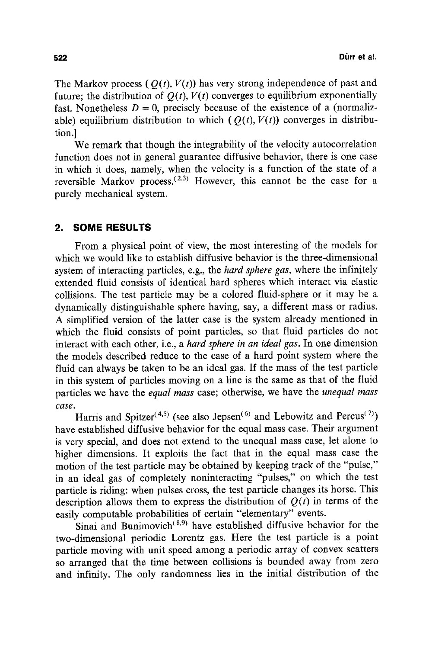The Markov process  $(Q(t), V(t))$  has very strong independence of past and future; the distribution of  $O(t)$ ,  $V(t)$  converges to equilibrium exponentially fast. Nonetheless  $D = 0$ , precisely because of the existence of a (normalizable) equilibrium distribution to which  $(Q(t), V(t))$  converges in distribution.]

We remark that though the integrability of the velocity autocorrelation function does not in general guarantee diffusive behavior, there is one case in which it does, namely, when the velocity is a function of the state of a reversible Markov process.<sup> $(2,3)$ </sup> However, this cannot be the case for a purely mechanical system.

## **2, SOME RESULTS**

From a physical point of view, the most interesting of the models for which we would like to establish diffusive behavior is the three-dimensional system of interacting particles, e.g., the *hard sphere gas,* where the infinitely extended fluid consists of identical hard spheres which interact via elastic collisions. The test particle may be a colored fluid-sphere or it may be a dynamically distinguishable sphere having, say, a different mass or radius. A simplified version of the latter case is the system already mentioned in which the fluid consists of point particles, so that fluid particles do not interact with each other, i.e., a *hard sphere in an ideal gas.* In one dimension the models described reduce to the case of a hard point system where the fluid can always be taken to be an ideal gas. If the mass of the test particle in this system of particles moving on a line is the same as that of the fluid particles we have the *equal mass* case; otherwise, we have the *unequal mass case.* 

Harris and Spitzer<sup>(4,5)</sup> (see also Jepsen<sup>(6)</sup> and Lebowitz and Percus<sup>(7)</sup>) have established diffusive behavior for the equal mass case. Their argument is very special, and does not extend to the unequal mass case, let alone to higher dimensions. It exploits the fact that in the equal mass case the motion of the test particle may be obtained by keeping track of the "pulse," in an ideal gas of completely noninteracting "pulses," on which the test particle is riding: when pulses cross, the test particle changes its horse. This description allows them to express the distribution of  $Q(t)$  in terms of the easily computable probabilities of certain "elementary" events.

Sinai and Bunimovich<sup> $(8,9)$ </sup> have established diffusive behavior for the two-dimensional periodic Lorentz gas. Here the test particle is a point particle moving with unit speed among a periodic array of convex scatters so arranged that the time between collisions is bounded away from zero and infinity. The only randomness lies in the initial distribution of the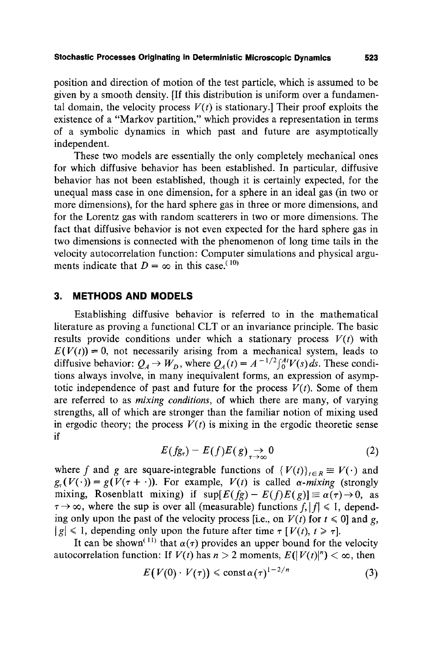## **Stochastic Processes Originating in Deterministic Microscopic Dynamics 523**

position and direction of motion of the test particle, which is assumed to be given by a smooth density. [If this distribution is uniform over a fundamental domain, the velocity process  $V(t)$  is stationary. Their proof exploits the existence of a "Markov partition," which provides a representation in terms of a symbolic dynamics in which past and future are asymptotically independent.

These two models are essentially the only completely mechanical ones for which diffusive behavior has been established. In particular, diffusive behavior has not been established, though it is certainly expected, for the unequal mass case in one dimension, for a sphere in an ideal gas (in two or more dimensions), for the hard sphere gas in three or more dimensions, and for the Lorentz gas with random scatterers in two or more dimensions. The fact that diffusive behavior is not even expected for the hard sphere gas in two dimensions is connected with the phenomenon of long time tails in the velocity autocorrelation function: Computer simulations and physical arguments indicate that  $D = \infty$  in this case.<sup>(10)</sup>

#### **3. METHODS AND MODELS**

Establishing diffusive behavior is referred to in the mathematical literature as proving a functional CLT or an invariance principle. The basic results provide conditions under which a stationary process  $V(t)$  with  $E(V(t)) = 0$ , not necessarily arising from a mechanical system, leads to diffusive behavior:  $Q_A \rightarrow W_D$ , where  $Q_A(t) = A^{-1/2} \int_0^A V(s) ds$ . These conditions always involve, in many inequivalent forms, an expression of asymptotic independence of past and future for the process  $V(t)$ . Some of them are referred to as *mixing conditions,* of which there are many, of varying strengths, all of which are stronger than the familiar notion of mixing used in ergodic theory; the process  $V(t)$  is mixing in the ergodic theoretic sense if

$$
E(fgr) - E(f)E(g) \to 0
$$
 (2)

where f and g are square-integrable functions of  ${V(t)}_{t \in R} \equiv V(\cdot)$  and  $g(x(V(\cdot)) = g(V(\tau + \cdot))$ . For example,  $V(t)$  is called  $\alpha$ -mixing (strongly mixing, Rosenblatt mixing) if  $\sup[E(fg) - E(f)E(g)] \equiv \alpha(\tau) \rightarrow 0$ , as  $\tau \rightarrow \infty$ , where the sup is over all (measurable) functions  $f, |f| \leq 1$ , depending only upon the past of the velocity process [i.e., on  $V(t)$  for  $t \le 0$ ] and g,  $|g| \leq 1$ , depending only upon the future after time  $\tau$  [ $V(t)$ ,  $t \geq \tau$ ].

It can be shown<sup>(11)</sup> that  $\alpha(\tau)$  provides an upper bound for the velocity autocorrelation function: If  $V(t)$  has  $n > 2$  moments,  $E(|V(t)|^n) < \infty$ , then

$$
E(V(0) \cdot V(\tau)) \le \text{const } \alpha(\tau)^{1-2/n} \tag{3}
$$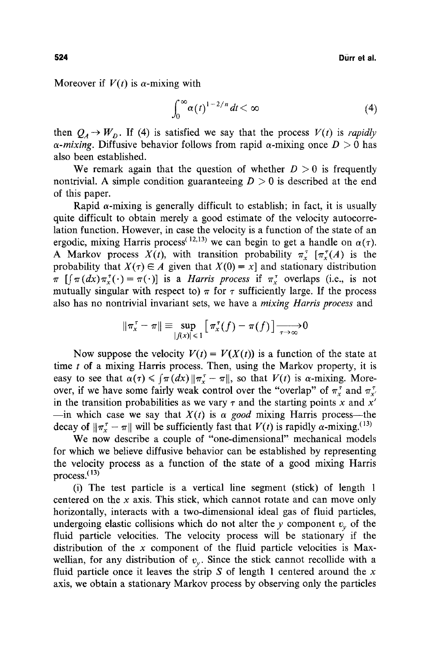Moreover if  $V(t)$  is  $\alpha$ -mixing with

$$
\int_0^\infty \alpha(t)^{1-2/n} dt < \infty \tag{4}
$$

then  $Q_A \rightarrow W_D$ . If (4) is satisfied we say that the process  $V(t)$  is *rapidly*  $\alpha$ -*mixing*. Diffusive behavior follows from rapid  $\alpha$ -mixing once  $D > 0$  has also been established.

We remark again that the question of whether  $D > 0$  is frequently nontrivial. A simple condition guaranteeing  $D > 0$  is described at the end of this paper.

Rapid  $\alpha$ -mixing is generally difficult to establish; in fact, it is usually quite difficult to obtain merely a good estimate of the velocity autocorrelation function. However, in case the velocity is a function of the state of an ergodic, mixing Harris process<sup>(12,13)</sup> we can begin to get a handle on  $\alpha(\tau)$ . A Markov process  $X(t)$ , with transition probability  $\pi_x^T$   $[\pi_x^T(A)]$  is the probability that  $X(\tau) \in A$  given that  $X(0) = x$  and stationary distribution  $\pi$  [ $\int \pi(dx)\pi_x^{\tau}(\cdot) = \pi(\cdot)$ ] is a *Harris process* if  $\pi_x^{\tau}$  overlaps (i.e., is not mutually singular with respect to)  $\pi$  for  $\tau$  sufficiently large. If the process also has no nontrivial invariant sets, we have a *mixing Harris process* and

$$
\|\pi_x^{\tau} - \pi\| \equiv \sup_{|f(x)| \leq 1} \left[ \pi_x^{\tau}(f) - \pi(f) \right] \xrightarrow[\tau \to \infty]{} 0
$$

Now suppose the velocity  $V(t) = V(X(t))$  is a function of the state at time  $t$  of a mixing Harris process. Then, using the Markov property, it is easy to see that  $\alpha(\tau) \leq \int \pi(dx) ||\pi_x^{\tau} - \pi||$ , so that  $V(t)$  is  $\alpha$ -mixing. Moreover, if we have some fairly weak control over the "overlap" of  $\pi_r^{\tau}$  and  $\pi_{r'}^{\tau}$ in the transition probabilities as we vary  $\tau$  and the starting points x and x'  $-\text{in}$  which case we say that  $X(t)$  is  $\alpha$  *good* mixing Harris process—the decay of  $\|\pi_x^{\tau} - \pi\|$  will be sufficiently fast that  $V(t)$  is rapidly  $\alpha$ -mixing.<sup>(13)</sup>

We now describe a couple of "one-dimensional" mechanical models for which we believe diffusive behavior can be established by representing the velocity process as a function of the state of a good mixing Harris process. $(13)$ 

(i) The test particle is a vertical line segment (stick) of length 1 centered on the x axis. This stick, which cannot rotate and can move only horizontally, interacts with a two-dimensional ideal gas of fluid particles, undergoing elastic collisions which do not alter the y component  $v_y$  of the fluid particle velocities. The velocity process will be stationary if the distribution of the  $x$  component of the fluid particle velocities is Maxwellian, for any distribution of  $v_y$ . Since the stick cannot recollide with a fluid particle once it leaves the strip S of length 1 centered around the x axis, we obtain a stationary Markov process by observing only the particles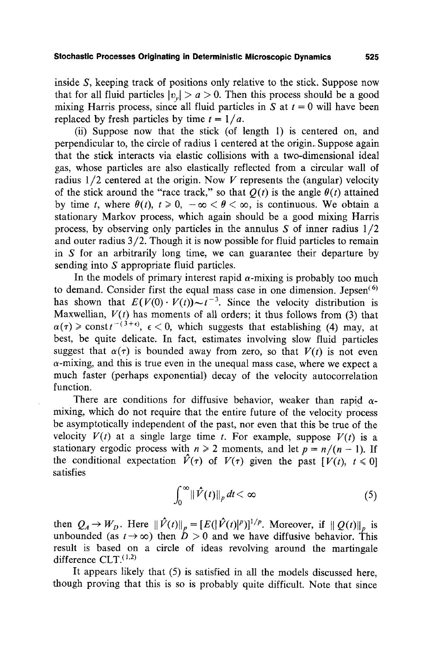inside S, keeping track of positions only relative to the stick. Suppose now that for all fluid particles  $|v_n| > a > 0$ . Then this process should be a good mixing Harris process, since all fluid particles in S at  $t = 0$  will have been replaced by fresh particles by time  $t = 1/a$ .

(ii) Suppose now that the stick (of length 1) is centered on, and perpendicular to, the circle of radius 1 centered at the origin., Suppose again that the stick interacts via elastic collisions with a two-dimensional ideal gas, whose particles are also elastically reflected from a circular wall of radius  $1/2$  centered at the origin. Now V represents the (angular) velocity of the stick around the "race track," so that  $O(t)$  is the angle  $\theta(t)$  attained by time t, where  $\theta(t)$ ,  $t \ge 0$ ,  $-\infty < \theta < \infty$ , is continuous. We obtain a stationary Markov process, which again should be a good mixing Harris process, by observing only particles in the annulus S of inner radius  $1/2$ and outer radius 3/2. Though it is now possible for fluid particles to remain in S for an arbitrarily long time, we can guarantee their departure by sending into S appropriate fluid particles.

In the models of primary interest rapid  $\alpha$ -mixing is probably too much to demand. Consider first the equal mass case in one dimension. Jepsen<sup> $(6)$ </sup> has shown that  $E(V(0) \cdot V(t)) \sim t^{-3}$ . Since the velocity distribution is Maxwellian,  $V(t)$  has moments of all orders; it thus follows from (3) that  $\alpha(\tau) \geqslant \text{const } t^{-(3+\epsilon)}$ ,  $\epsilon < 0$ , which suggests that establishing (4) may, at best, be quite delicate. In fact, estimates involving slow fluid particles suggest that  $\alpha(\tau)$  is bounded away from zero, so that  $V(t)$  is not even  $\alpha$ -mixing, and this is true even in the unequal mass case, where we expect a much faster (perhaps exponential) decay of the velocity autocorrelation function.

There are conditions for diffusive behavior, weaker than rapid  $\alpha$ mixing, which do not require that the entire future of the velocity process be asymptotically independent of the past, nor even that this be true of the velocity  $V(t)$  at a single large time t. For example, suppose  $V(t)$  is a stationary ergodic process with  $n \ge 2$  moments, and let  $p = n/(n - 1)$ . If the conditional expectation  $\hat{V}(\tau)$  of  $V(\tau)$  given the past  $[V(t), t \le 0]$ satisfies

$$
\int_0^\infty \|\hat{V}(t)\|_p dt < \infty \tag{5}
$$

then  $Q_A \to W_D$ . Here  $||V(t)||_p = [E(|V(t)|^p)]^{1/p}$ . Moreover, if  $||Q(t)||_p$  is unbounded (as  $t\rightarrow\infty$ ) then  $D>0$  and we have diffusive behavior. This result is based on a circle of ideas revolving around the martingale difference  $CLT<sub>1</sub>(1,2)$ 

It appears likely that (5) is satisfied in all the models discussed here, though proving that this is so is probably quite difficult. Note that since